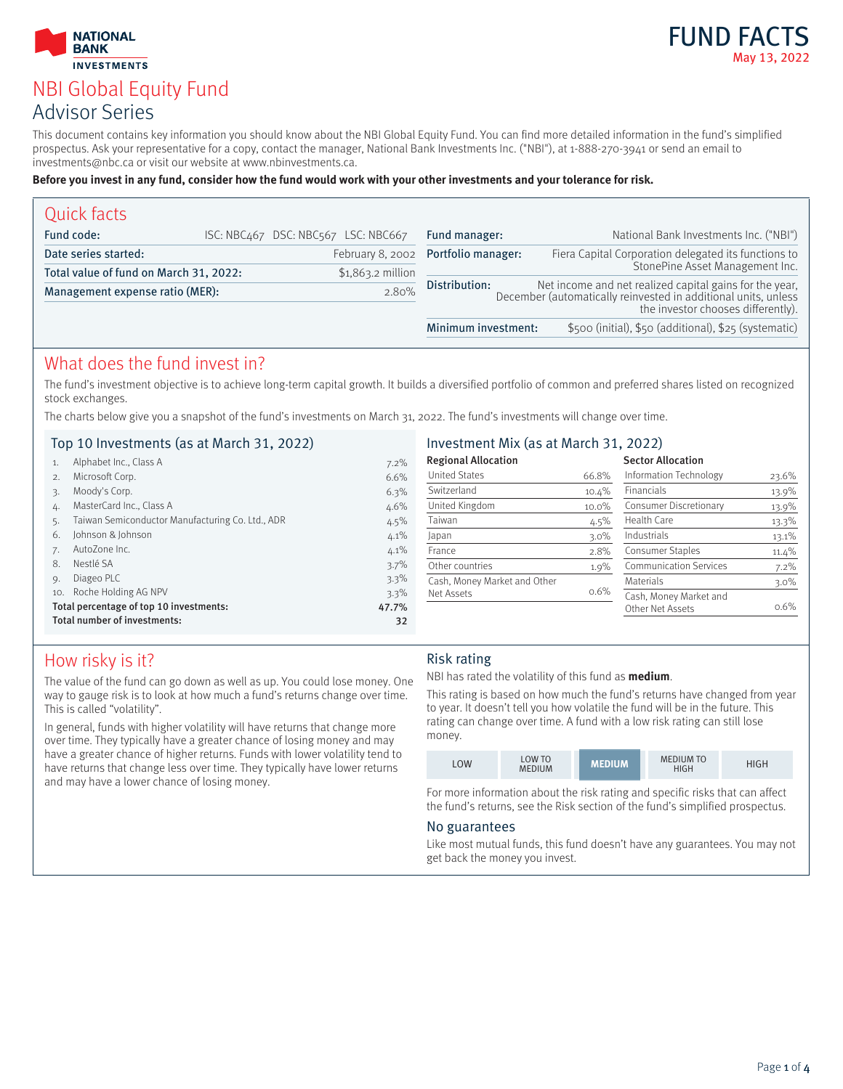### **INVESTMENTS** NBI Global Equity Fund Advisor Series

**NATIONAL BANK** 



This document contains key information you should know about the NBI Global Equity Fund. You can find more detailed information in the fund's simplified prospectus. Ask your representative for a copy, contact the manager, National Bank Investments Inc. ("NBI"), at 1-888-270-3941 or send an email to investments@nbc.ca or visit our website at www.nbinvestments.ca.

#### **Before you invest in any fund, consider how the fund would work with your other investments and your tolerance for risk.**

| Quick facts                            |                                     |                                     |                                                                                                                                                                 |
|----------------------------------------|-------------------------------------|-------------------------------------|-----------------------------------------------------------------------------------------------------------------------------------------------------------------|
| Fund code:                             | ISC: NBC467 DSC: NBC567 LSC: NBC667 | Fund manager:                       | National Bank Investments Inc. ("NBI")                                                                                                                          |
| Date series started:                   |                                     | February 8, 2002 Portfolio manager: | Fiera Capital Corporation delegated its functions to                                                                                                            |
| Total value of fund on March 31, 2022: | $$1,863.2$ million                  |                                     | StonePine Asset Management Inc.                                                                                                                                 |
| Management expense ratio (MER):        | 2.80%                               | Distribution:                       | Net income and net realized capital gains for the year,<br>December (automatically reinvested in additional units, unless<br>the investor chooses differently). |
|                                        |                                     | Minimum investment:                 | \$500 (initial), \$50 (additional), \$25 (systematic)                                                                                                           |

### What does the fund invest in?

The fund's investment objective is to achieve long-term capital growth. It builds a diversified portfolio of common and preferred shares listed on recognized stock exchanges.

The charts below give you a snapshot of the fund's investments on March 31, 2022. The fund's investments will change over time.

#### Top 10 Investments (as at March 31, 2022)

| Investment Mix (as at March 31, 2022) |  |  |  |  |  |
|---------------------------------------|--|--|--|--|--|
|---------------------------------------|--|--|--|--|--|

|                                                  | Alphabet Inc., Class A                           | 7.2%    | <b>Regional Allocation</b>   |          | <b>Sector Allocation</b>      |          |
|--------------------------------------------------|--------------------------------------------------|---------|------------------------------|----------|-------------------------------|----------|
|                                                  | Microsoft Corp.                                  | 6.6%    | <b>United States</b>         | 66.8%    | Information Technology        | 23.6%    |
|                                                  | Moody's Corp.                                    | 6.3%    | Switzerland                  | 10.4%    | <b>Financials</b>             | 13.9%    |
| 4.                                               | MasterCard Inc., Class A                         | $4.6\%$ | United Kingdom               | $10.0\%$ | Consumer Discretionary        | 13.9%    |
|                                                  | Taiwan Semiconductor Manufacturing Co. Ltd., ADR | $4.5\%$ | Taiwan                       | $4.5\%$  | Health Care                   | 13.3%    |
| 6.                                               | Johnson & Johnson                                | 4.1%    | Japan                        | $3.0\%$  | Industrials                   | $13.1\%$ |
|                                                  | AutoZone Inc.                                    | 4.1%    | France                       | 2.8%     | Consumer Staples              | $11.4\%$ |
| 8.                                               | Nestlé SA                                        | 3.7%    | Other countries              | $1.9\%$  | <b>Communication Services</b> | $7.2\%$  |
|                                                  | Diageo PLC                                       | 3.3%    | Cash, Money Market and Other |          | Materials                     | $3.0\%$  |
| 10.                                              | Roche Holding AG NPV                             | 3.3%    | Net Assets                   | $0.6\%$  | Cash, Money Market and        |          |
| Total percentage of top 10 investments:<br>47.7% |                                                  |         |                              |          | Other Net Assets              | $0.6\%$  |
|                                                  | Total number of investments:                     | 32      |                              |          |                               |          |

### How risky is it?

The value of the fund can go down as well as up. You could lose money. One way to gauge risk is to look at how much a fund's returns change over time. This is called "volatility".

In general, funds with higher volatility will have returns that change more over time. They typically have a greater chance of losing money and may have a greater chance of higher returns. Funds with lower volatility tend to have returns that change less over time. They typically have lower returns and may have a lower chance of losing money.

#### Risk rating

NBI has rated the volatility of this fund as **medium**.

This rating is based on how much the fund's returns have changed from year to year. It doesn't tell you how volatile the fund will be in the future. This rating can change over time. A fund with a low risk rating can still lose money.

| LOW | LOW TO<br><b>MEDIUM</b> | <b>MEDIUM</b> | <b>MEDIUM TO</b><br>HIGH | HIGH |
|-----|-------------------------|---------------|--------------------------|------|
|-----|-------------------------|---------------|--------------------------|------|

For more information about the risk rating and specific risks that can affect the fund's returns, see the Risk section of the fund's simplified prospectus.

#### No guarantees

Like most mutual funds, this fund doesn't have any guarantees. You may not get back the money you invest.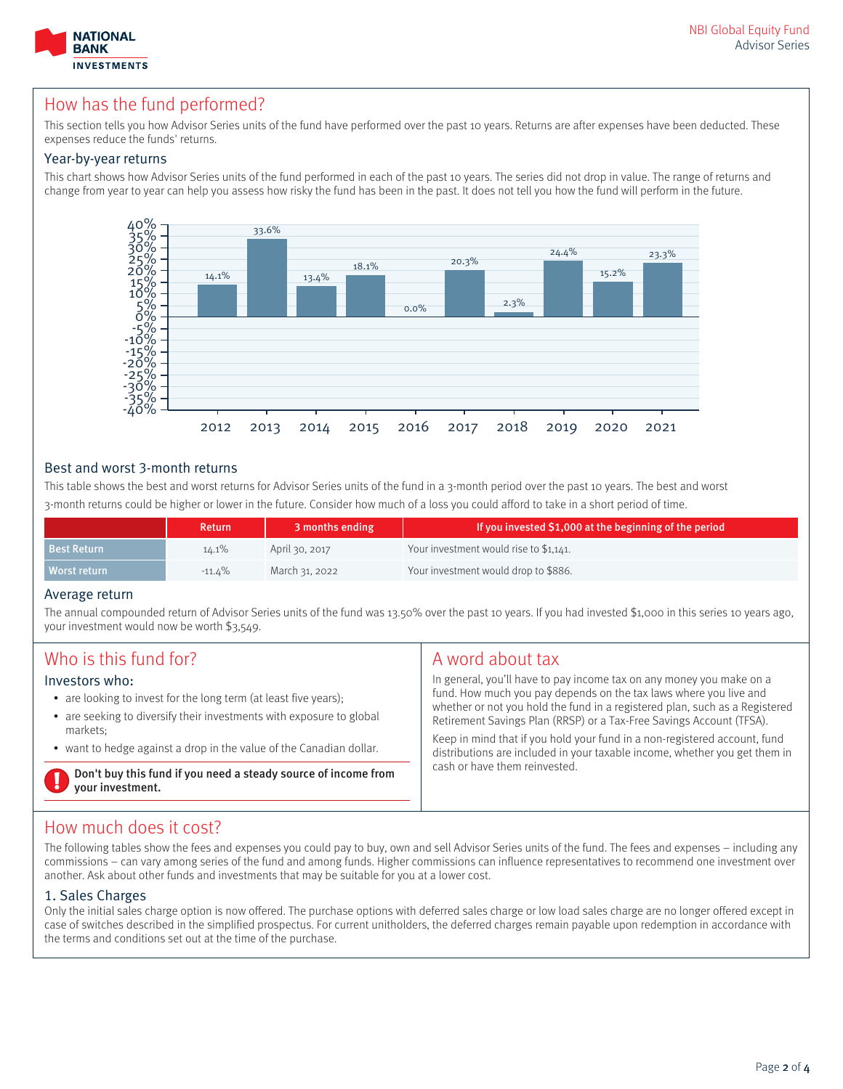

### How has the fund performed?

This section tells you how Advisor Series units of the fund have performed over the past 10 years. Returns are after expenses have been deducted. These expenses reduce the funds' returns.

#### Year-by-year returns

This chart shows how Advisor Series units of the fund performed in each of the past 10 years. The series did not drop in value. The range of returns and change from year to year can help you assess how risky the fund has been in the past. It does not tell you how the fund will perform in the future.



#### Best and worst 3-month returns

This table shows the best and worst returns for Advisor Series units of the fund in a 3-month period over the past 10 years. The best and worst 3-month returns could be higher or lower in the future. Consider how much of a loss you could afford to take in a short period of time.

|                    | Return    | 3 months ending | If you invested \$1,000 at the beginning of the period |
|--------------------|-----------|-----------------|--------------------------------------------------------|
| <b>Best Return</b> | $14.1\%$  | April 30, 2017  | Your investment would rise to \$1,141.                 |
| Worst return       | $-11.4\%$ | March 31, 2022  | Your investment would drop to \$886.                   |

#### Average return

The annual compounded return of Advisor Series units of the fund was 13.50% over the past 10 years. If you had invested \$1,000 in this series 10 years ago, your investment would now be worth \$3,549.

| Who is this fund for?<br>Investors who:<br>• are looking to invest for the long term (at least five years);<br>• are seeking to diversify their investments with exposure to global<br>markets:<br>• want to hedge against a drop in the value of the Canadian dollar. | A word about tax<br>In general, you'll have to pay income tax on any money you make on a<br>fund. How much you pay depends on the tax laws where you live and<br>whether or not you hold the fund in a registered plan, such as a Registered<br>Retirement Savings Plan (RRSP) or a Tax-Free Savings Account (TFSA).<br>Keep in mind that if you hold your fund in a non-registered account, fund<br>distributions are included in your taxable income, whether you get them in |
|------------------------------------------------------------------------------------------------------------------------------------------------------------------------------------------------------------------------------------------------------------------------|---------------------------------------------------------------------------------------------------------------------------------------------------------------------------------------------------------------------------------------------------------------------------------------------------------------------------------------------------------------------------------------------------------------------------------------------------------------------------------|
| Don't buy this fund if you need a steady source of income from<br>your investment.                                                                                                                                                                                     | cash or have them reinvested.                                                                                                                                                                                                                                                                                                                                                                                                                                                   |

### How much does it cost?

The following tables show the fees and expenses you could pay to buy, own and sell Advisor Series units of the fund. The fees and expenses – including any commissions – can vary among series of the fund and among funds. Higher commissions can influence representatives to recommend one investment over another. Ask about other funds and investments that may be suitable for you at a lower cost.

#### 1. Sales Charges

Only the initial sales charge option is now offered. The purchase options with deferred sales charge or low load sales charge are no longer offered except in case of switches described in the simplified prospectus. For current unitholders, the deferred charges remain payable upon redemption in accordance with the terms and conditions set out at the time of the purchase.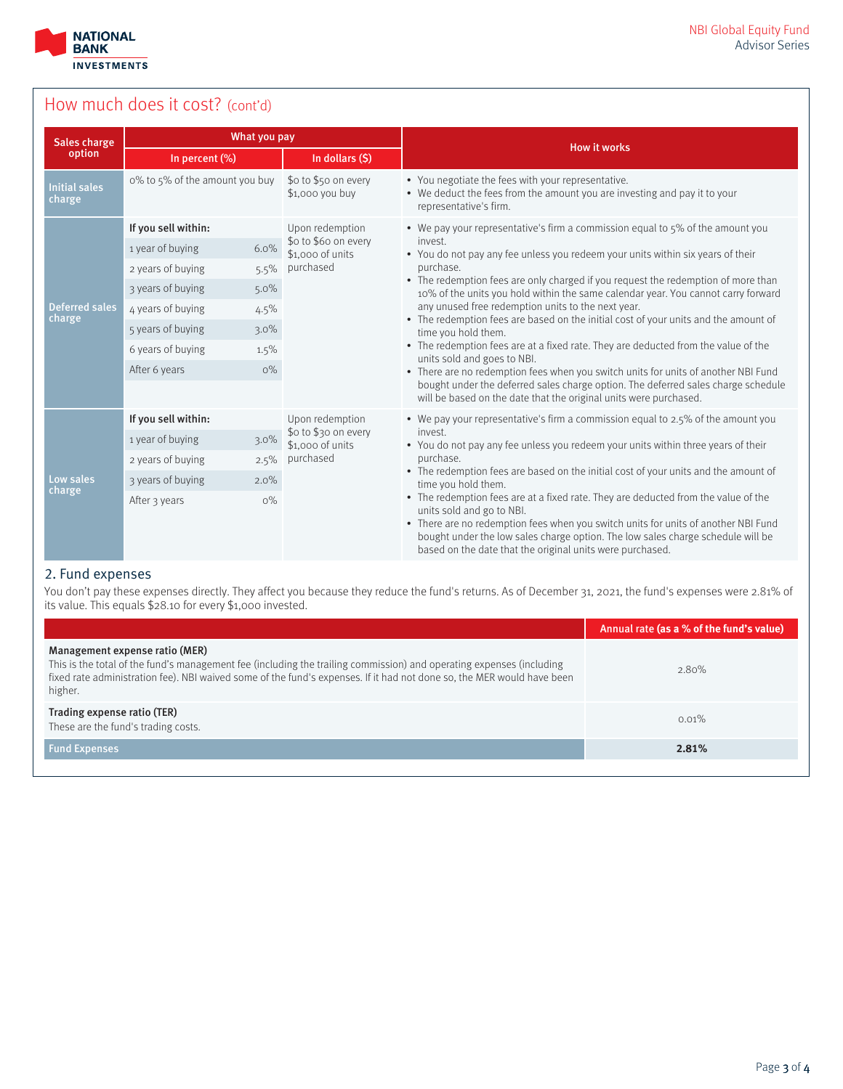

# How much does it cost? (cont'd)

| What you pay<br><b>Sales charge</b> |                                |                                          |                                                                                                                                                                                                                                    |  |
|-------------------------------------|--------------------------------|------------------------------------------|------------------------------------------------------------------------------------------------------------------------------------------------------------------------------------------------------------------------------------|--|
| option                              | In percent (%)                 | In dollars (\$)                          | <b>How it works</b>                                                                                                                                                                                                                |  |
| <b>Initial sales</b><br>charge      | o% to 5% of the amount you buy | \$o to \$50 on every<br>\$1,000 you buy  | • You negotiate the fees with your representative.<br>• We deduct the fees from the amount you are investing and pay it to your<br>representative's firm.                                                                          |  |
|                                     | If you sell within:            | Upon redemption                          | • We pay your representative's firm a commission equal to 5% of the amount you                                                                                                                                                     |  |
|                                     | 6.0%<br>1 year of buying       | \$o to \$6o on every<br>\$1,000 of units | invest.<br>• You do not pay any fee unless you redeem your units within six years of their                                                                                                                                         |  |
|                                     | 2 years of buying<br>5.5%      | purchased                                | purchase.                                                                                                                                                                                                                          |  |
|                                     | 3 years of buying<br>$5.0\%$   |                                          | • The redemption fees are only charged if you request the redemption of more than<br>10% of the units you hold within the same calendar year. You cannot carry forward                                                             |  |
| <b>Deferred sales</b><br>charge     | 4 years of buying<br>4.5%      |                                          | any unused free redemption units to the next year.<br>• The redemption fees are based on the initial cost of your units and the amount of                                                                                          |  |
|                                     | 5 years of buying<br>$3.0\%$   |                                          | time you hold them.                                                                                                                                                                                                                |  |
|                                     | 6 years of buying<br>1.5%      |                                          | • The redemption fees are at a fixed rate. They are deducted from the value of the<br>units sold and goes to NBI.                                                                                                                  |  |
|                                     | After 6 years<br>$O\%$         |                                          | • There are no redemption fees when you switch units for units of another NBI Fund                                                                                                                                                 |  |
|                                     |                                |                                          | bought under the deferred sales charge option. The deferred sales charge schedule<br>will be based on the date that the original units were purchased.                                                                             |  |
|                                     | If you sell within:            | Upon redemption                          | • We pay your representative's firm a commission equal to 2.5% of the amount you                                                                                                                                                   |  |
|                                     | 1 year of buying<br>$3.0\%$    | \$o to \$30 on every<br>\$1,000 of units | invest.<br>• You do not pay any fee unless you redeem your units within three years of their                                                                                                                                       |  |
|                                     | 2 years of buying<br>2.5%      | purchased                                | purchase.                                                                                                                                                                                                                          |  |
| Low sales<br>charge                 | 3 years of buying<br>2.0%      |                                          | • The redemption fees are based on the initial cost of your units and the amount of<br>time you hold them.                                                                                                                         |  |
|                                     | After 3 years<br>$O\%$         |                                          | • The redemption fees are at a fixed rate. They are deducted from the value of the<br>units sold and go to NBI.                                                                                                                    |  |
|                                     |                                |                                          | • There are no redemption fees when you switch units for units of another NBI Fund<br>bought under the low sales charge option. The low sales charge schedule will be<br>based on the date that the original units were purchased. |  |

#### 2. Fund expenses

You don't pay these expenses directly. They affect you because they reduce the fund's returns. As of December 31, 2021, the fund's expenses were 2.81% of its value. This equals \$28.10 for every \$1,000 invested.

|                                                                                                                                                                                                                                                                                             | Annual rate (as a % of the fund's value) |
|---------------------------------------------------------------------------------------------------------------------------------------------------------------------------------------------------------------------------------------------------------------------------------------------|------------------------------------------|
| Management expense ratio (MER)<br>This is the total of the fund's management fee (including the trailing commission) and operating expenses (including<br>fixed rate administration fee). NBI waived some of the fund's expenses. If it had not done so, the MER would have been<br>higher. | 2.80%                                    |
| Trading expense ratio (TER)<br>These are the fund's trading costs.                                                                                                                                                                                                                          | $0.01\%$                                 |
| <b>Fund Expenses</b>                                                                                                                                                                                                                                                                        | 2.81%                                    |